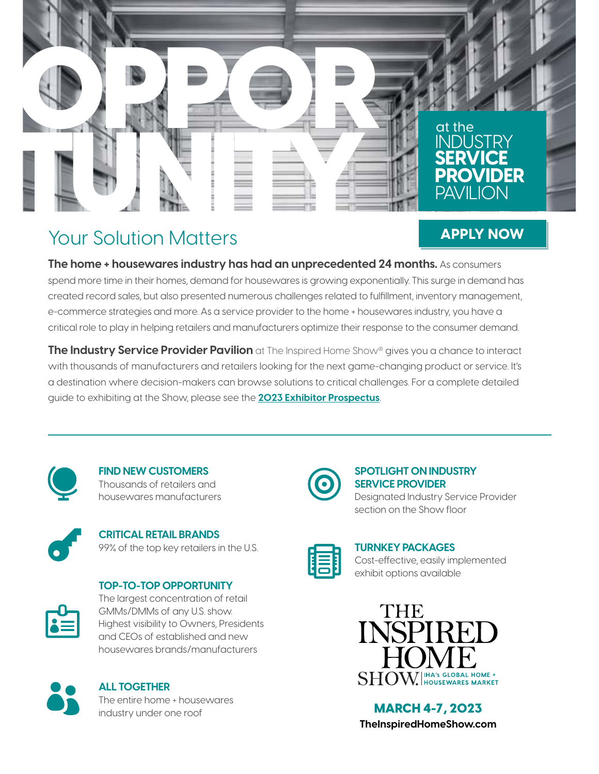

# Your Solution Matters

## **[APPLY NOW](https://www.theinspiredhomeshow.com/exhibit/)**

**The home + housewares industry has had an unprecedented 24 months.** As consumers spend more time in their homes, demand for housewares is growing exponentially. This surge in demand has created record sales, but also presented numerous challenges related to fulfillment, inventory management, e-commerce strategies and more. As a service provider to the home + housewares industry, you have a critical role to play in helping retailers and manufacturers optimize their response to the consumer demand.

**The Industry Service Provider Pavilion** at The Inspired Home Show® gives you a chance to interact with thousands of manufacturers and retailers looking for the next game-changing product or service. It's a destination where decision-makers can browse solutions to critical challenges. For a complete detailed guide to exhibiting at the Show, please see the **[2023 Exhibitor Prospectus](https://www.theinspiredhomeshow.com/wp-content/uploads/2022/05/23_IHA_ExhibitorProspectus_0505_Final_LR.pdf)**.



**FIND NEW CUSTOMERS** Thousands of retailers and housewares manufacturers



**CRITICAL RETAIL BRANDS** 99% of the top key retailers in the U.S.

## **TOP-TO-TOP OPPORTUNITY**





#### **ALL TOGETHER** The entire home + housewares industry under one roof **MARCH 4-7, 2023**



### **SPOTLIGHT ON INDUSTRY SERVICE PROVIDER**

Designated Industry Service Provider section on the Show floor



#### **TURNKEY PACKAGES** Cost-effective, easily implemented exhibit options available



**[TheInspiredHomeShow.com](https://www.theinspiredhomeshow.com/)**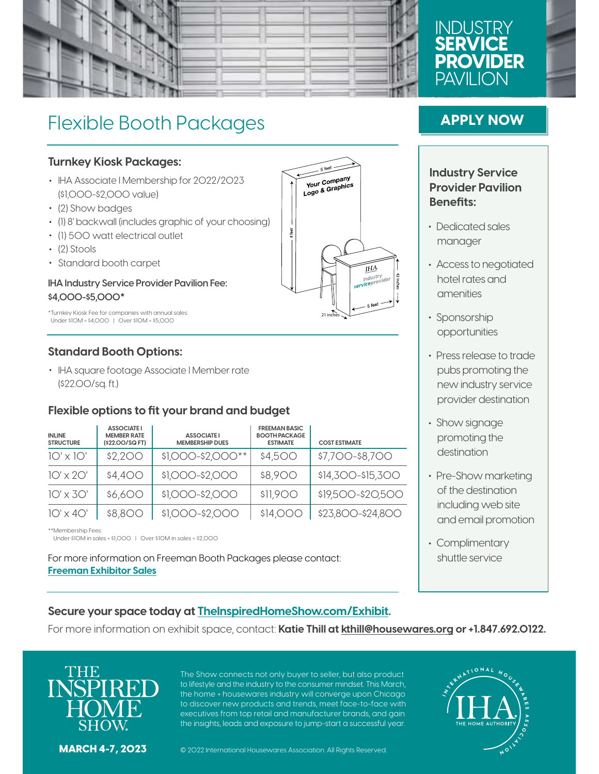

## **INDUST SERVICE PROVIDER** PAVII ION

# Flexible Booth Packages

#### **Turnkey Kiosk Packages:**

- IHA Associate I Membership for 2022/2023 (\$1,000-\$2,000 value)
- (2) Show badges
- (1) 8' backwall (includes graphic of your choosing)
- (1) 500 watt electrical outlet
- (2) Stools
- Standard booth carpet

#### **IHA Industry Service Provider Pavilion Fee: \$4,000-\$5,000\***

\*Turnkey Kiosk Fee for companies with annual sales: Under \$10M = \$4,000 | Over \$10M = \$5,000

#### **Standard Booth Options:**

• IHA square footage Associate I Member rate (\$22.00/sq. ft.)

#### **Flexible options to fit your brand and budget**

| <b>INLINE</b><br><b>STRUCTURE</b> | <b>ASSOCIATE I</b><br><b>MEMBER RATE</b><br>(\$22.00/SQ FT) | <b>ASSOCIATE I</b><br><b>MEMBERSHIP DUES</b> | <b>FREEMAN BASIC</b><br><b>BOOTH PACKAGE</b><br><b>ESTIMATE</b> | <b>COST ESTIMATE</b> |
|-----------------------------------|-------------------------------------------------------------|----------------------------------------------|-----------------------------------------------------------------|----------------------|
| $10' \times 10'$                  | \$2,200                                                     | \$1,000-\$2,000**                            | \$4,500                                                         | \$7,700-\$8,700      |
| $10' \times 20'$                  | \$4,400                                                     | \$1,000-\$2,000                              | \$8,900                                                         | \$14,300-\$15,300    |
| $10' \times 30'$                  | \$6,600                                                     | \$1,000-\$2,000                              | \$11,900                                                        | \$19,500-\$20,500    |
| $1O' \times 4O'$                  | \$8,800                                                     | \$1,000-\$2,000                              | \$14,000                                                        | \$23,800-\$24,800    |

\*\*Membership Fees:

Under \$10M in sales = \$1,000 | Over \$10M in sales = \$2,000

For more information on Freeman Booth Packages please contact: **[Freeman Exhibitor Sales](https://www.freeman.com/event-services/exhibit-environment-design/?utm_medium=cpc&utm_source=google&utm_campaign=search&gclid=EAIaIQobChMImMLLwc7M8wIV-25vBB2A5wpPEAAYAiAAEgJ9PPD_BwE)**

## **[APPLY NOW](https://www.theinspiredhomeshow.com/exhibit/)**

#### **Industry Service Provider Pavilion Benefits:**

- Dedicated sales manager
- Access to negotiated hotel rates and amenities
- Sponsorship opportunities
- Press release to trade pubs promoting the new industry service provider destination
- Show signage promoting the destination
- Pre-Show marketing of the destination including web site and email promotion
- Complimentary shuttle service

#### **Secure your space today at [TheInspiredHomeShow.com/Exhibit](https://www.theinspiredhomeshow.com/exhibit/).**

For more information on exhibit space, contact: **Katie Thill at [kthill@housewares.org](mailto:kthill%40housewares.org?subject=Industry%20Service%20Provider%20Pavilion%20Inquiry) or +1.847.692.0122.**



The Show connects not only buyer to seller, but also product to lifestyle and the industry to the consumer mindset. This March, the home + housewares industry will converge upon Chicago to discover new products and trends, meet face-to-face with executives from top retail and manufacturer brands, and gain the insights, leads and exposure to jump-start a successful year.